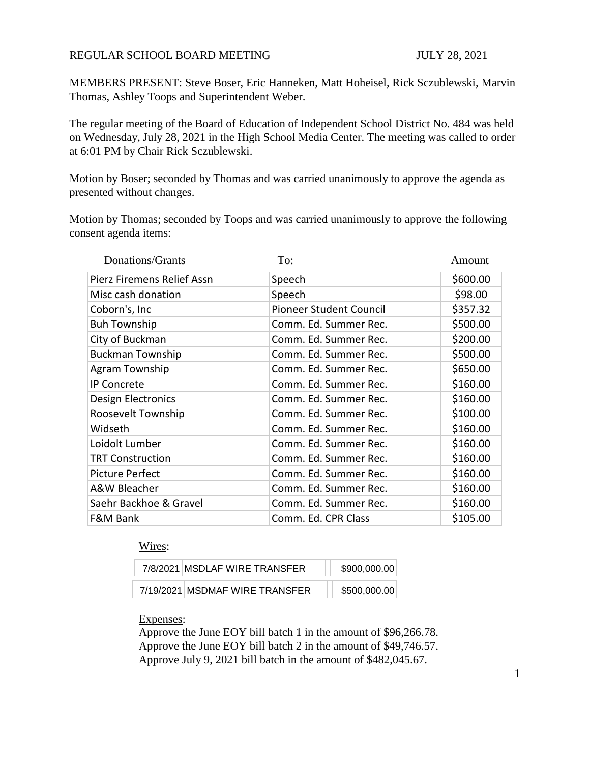## REGULAR SCHOOL BOARD MEETING **FOR SCHOOL BOARD MEETING** JULY 28, 2021

MEMBERS PRESENT: Steve Boser, Eric Hanneken, Matt Hoheisel, Rick Sczublewski, Marvin Thomas, Ashley Toops and Superintendent Weber.

The regular meeting of the Board of Education of Independent School District No. 484 was held on Wednesday, July 28, 2021 in the High School Media Center. The meeting was called to order at 6:01 PM by Chair Rick Sczublewski.

Motion by Boser; seconded by Thomas and was carried unanimously to approve the agenda as presented without changes.

Motion by Thomas; seconded by Toops and was carried unanimously to approve the following consent agenda items:

| Donations/Grants           | To:                     | Amount   |
|----------------------------|-------------------------|----------|
| Pierz Firemens Relief Assn | Speech                  | \$600.00 |
| Misc cash donation         | Speech                  | \$98.00  |
| Coborn's, Inc              | Pioneer Student Council | \$357.32 |
| <b>Buh Township</b>        | Comm. Ed. Summer Rec.   | \$500.00 |
| City of Buckman            | Comm. Ed. Summer Rec.   | \$200.00 |
| <b>Buckman Township</b>    | Comm. Ed. Summer Rec.   | \$500.00 |
| Agram Township             | Comm. Ed. Summer Rec.   | \$650.00 |
| <b>IP Concrete</b>         | Comm. Ed. Summer Rec.   | \$160.00 |
| Design Electronics         | Comm. Ed. Summer Rec.   | \$160.00 |
| Roosevelt Township         | Comm. Ed. Summer Rec.   | \$100.00 |
| Widseth                    | Comm. Ed. Summer Rec.   | \$160.00 |
| Loidolt Lumber             | Comm. Ed. Summer Rec.   | \$160.00 |
| <b>TRT Construction</b>    | Comm. Ed. Summer Rec.   | \$160.00 |
| <b>Picture Perfect</b>     | Comm. Ed. Summer Rec.   | \$160.00 |
| A&W Bleacher               | Comm. Ed. Summer Rec.   | \$160.00 |
| Saehr Backhoe & Gravel     | Comm. Ed. Summer Rec.   | \$160.00 |
| F&M Bank                   | Comm. Ed. CPR Class     | \$105.00 |

## Wires:

| 7/8/2021 MSDLAF WIRE TRANSFER  | \$900,000.00 |
|--------------------------------|--------------|
| 7/19/2021 MSDMAF WIRE TRANSFER | \$500,000.00 |

## Expenses:

Approve the June EOY bill batch 1 in the amount of \$96,266.78. Approve the June EOY bill batch 2 in the amount of \$49,746.57. Approve July 9, 2021 bill batch in the amount of \$482,045.67.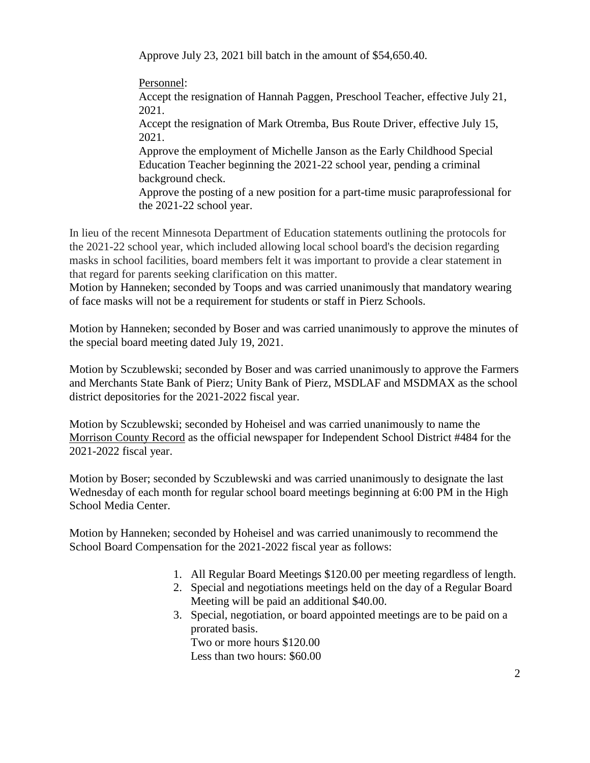Approve July 23, 2021 bill batch in the amount of \$54,650.40.

Personnel: Accept the resignation of Hannah Paggen, Preschool Teacher, effective July 21, 2021. Accept the resignation of Mark Otremba, Bus Route Driver, effective July 15, 2021. Approve the employment of Michelle Janson as the Early Childhood Special Education Teacher beginning the 2021-22 school year, pending a criminal background check. Approve the posting of a new position for a part-time music paraprofessional for the 2021-22 school year.

In lieu of the recent Minnesota Department of Education statements outlining the protocols for the 2021-22 school year, which included allowing local school board's the decision regarding masks in school facilities, board members felt it was important to provide a clear statement in that regard for parents seeking clarification on this matter.

Motion by Hanneken; seconded by Toops and was carried unanimously that mandatory wearing of face masks will not be a requirement for students or staff in Pierz Schools.

Motion by Hanneken; seconded by Boser and was carried unanimously to approve the minutes of the special board meeting dated July 19, 2021.

Motion by Sczublewski; seconded by Boser and was carried unanimously to approve the Farmers and Merchants State Bank of Pierz; Unity Bank of Pierz, MSDLAF and MSDMAX as the school district depositories for the 2021-2022 fiscal year.

Motion by Sczublewski; seconded by Hoheisel and was carried unanimously to name the Morrison County Record as the official newspaper for Independent School District #484 for the 2021-2022 fiscal year.

Motion by Boser; seconded by Sczublewski and was carried unanimously to designate the last Wednesday of each month for regular school board meetings beginning at 6:00 PM in the High School Media Center.

Motion by Hanneken; seconded by Hoheisel and was carried unanimously to recommend the School Board Compensation for the 2021-2022 fiscal year as follows:

- 1. All Regular Board Meetings \$120.00 per meeting regardless of length.
- 2. Special and negotiations meetings held on the day of a Regular Board Meeting will be paid an additional \$40.00.
- 3. Special, negotiation, or board appointed meetings are to be paid on a prorated basis. Two or more hours \$120.00

Less than two hours: \$60.00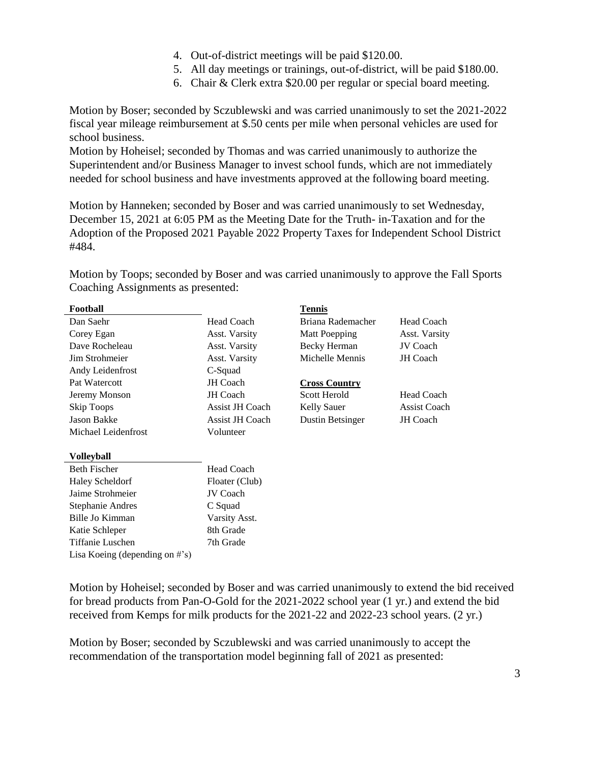- 4. Out-of-district meetings will be paid \$120.00.
- 5. All day meetings or trainings, out-of-district, will be paid \$180.00.
- 6. Chair & Clerk extra \$20.00 per regular or special board meeting.

Motion by Boser; seconded by Sczublewski and was carried unanimously to set the 2021-2022 fiscal year mileage reimbursement at \$.50 cents per mile when personal vehicles are used for school business.

Motion by Hoheisel; seconded by Thomas and was carried unanimously to authorize the Superintendent and/or Business Manager to invest school funds, which are not immediately needed for school business and have investments approved at the following board meeting.

Motion by Hanneken; seconded by Boser and was carried unanimously to set Wednesday, December 15, 2021 at 6:05 PM as the Meeting Date for the Truth- in-Taxation and for the Adoption of the Proposed 2021 Payable 2022 Property Taxes for Independent School District #484.

Motion by Toops; seconded by Boser and was carried unanimously to approve the Fall Sports Coaching Assignments as presented:

| Football                           |                        | Tennis                  |                     |
|------------------------------------|------------------------|-------------------------|---------------------|
| Dan Saehr                          | <b>Head Coach</b>      | Briana Rademacher       | <b>Head Coach</b>   |
| Corey Egan                         | Asst. Varsity          | <b>Matt Poepping</b>    | Asst. Varsity       |
| Dave Rocheleau                     | Asst. Varsity          | <b>Becky Herman</b>     | JV Coach            |
| Jim Strohmeier                     | Asst. Varsity          | Michelle Mennis         | JH Coach            |
| Andy Leidenfrost                   | C-Squad                |                         |                     |
| Pat Watercott                      | <b>JH</b> Coach        | <b>Cross Country</b>    |                     |
| Jeremy Monson                      | <b>JH</b> Coach        | Scott Herold            | <b>Head Coach</b>   |
| Skip Toops                         | <b>Assist JH Coach</b> | <b>Kelly Sauer</b>      | <b>Assist Coach</b> |
| <b>Jason Bakke</b>                 | <b>Assist JH Coach</b> | <b>Dustin Betsinger</b> | JH Coach            |
| Michael Leidenfrost                | Volunteer              |                         |                     |
|                                    |                        |                         |                     |
| Volleyball                         |                        |                         |                     |
| <b>Beth Fischer</b>                | <b>Head Coach</b>      |                         |                     |
| <b>Haley Scheldorf</b>             | Floater (Club)         |                         |                     |
| Jaime Strohmeier                   | <b>JV Coach</b>        |                         |                     |
| Stephanie Andres                   | C Squad                |                         |                     |
| Bille Jo Kimman                    | Varsity Asst.          |                         |                     |
| Katie Schleper                     | 8th Grade              |                         |                     |
| Tiffanie Luschen                   | 7th Grade              |                         |                     |
| Lisa Koeing (depending on $\#$ 's) |                        |                         |                     |

Motion by Hoheisel; seconded by Boser and was carried unanimously to extend the bid received for bread products from Pan-O-Gold for the 2021-2022 school year (1 yr.) and extend the bid received from Kemps for milk products for the 2021-22 and 2022-23 school years. (2 yr.)

Motion by Boser; seconded by Sczublewski and was carried unanimously to accept the recommendation of the transportation model beginning fall of 2021 as presented: